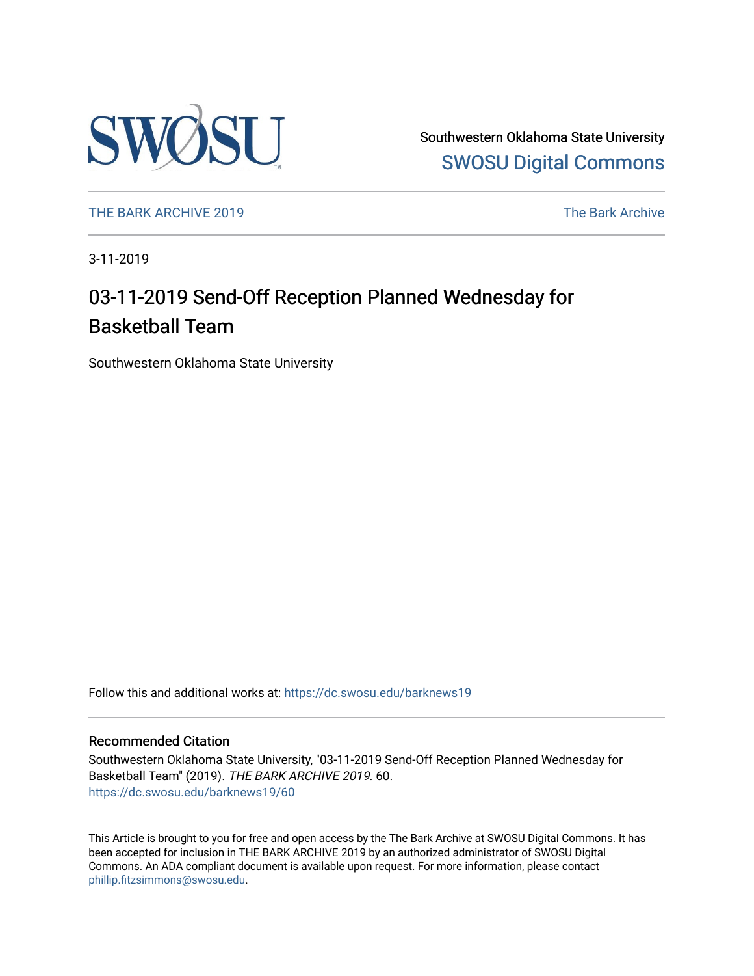

Southwestern Oklahoma State University [SWOSU Digital Commons](https://dc.swosu.edu/) 

[THE BARK ARCHIVE 2019](https://dc.swosu.edu/barknews19) The Bark Archive

3-11-2019

## 03-11-2019 Send-Off Reception Planned Wednesday for Basketball Team

Southwestern Oklahoma State University

Follow this and additional works at: [https://dc.swosu.edu/barknews19](https://dc.swosu.edu/barknews19?utm_source=dc.swosu.edu%2Fbarknews19%2F60&utm_medium=PDF&utm_campaign=PDFCoverPages)

#### Recommended Citation

Southwestern Oklahoma State University, "03-11-2019 Send-Off Reception Planned Wednesday for Basketball Team" (2019). THE BARK ARCHIVE 2019. 60. [https://dc.swosu.edu/barknews19/60](https://dc.swosu.edu/barknews19/60?utm_source=dc.swosu.edu%2Fbarknews19%2F60&utm_medium=PDF&utm_campaign=PDFCoverPages) 

This Article is brought to you for free and open access by the The Bark Archive at SWOSU Digital Commons. It has been accepted for inclusion in THE BARK ARCHIVE 2019 by an authorized administrator of SWOSU Digital Commons. An ADA compliant document is available upon request. For more information, please contact [phillip.fitzsimmons@swosu.edu](mailto:phillip.fitzsimmons@swosu.edu).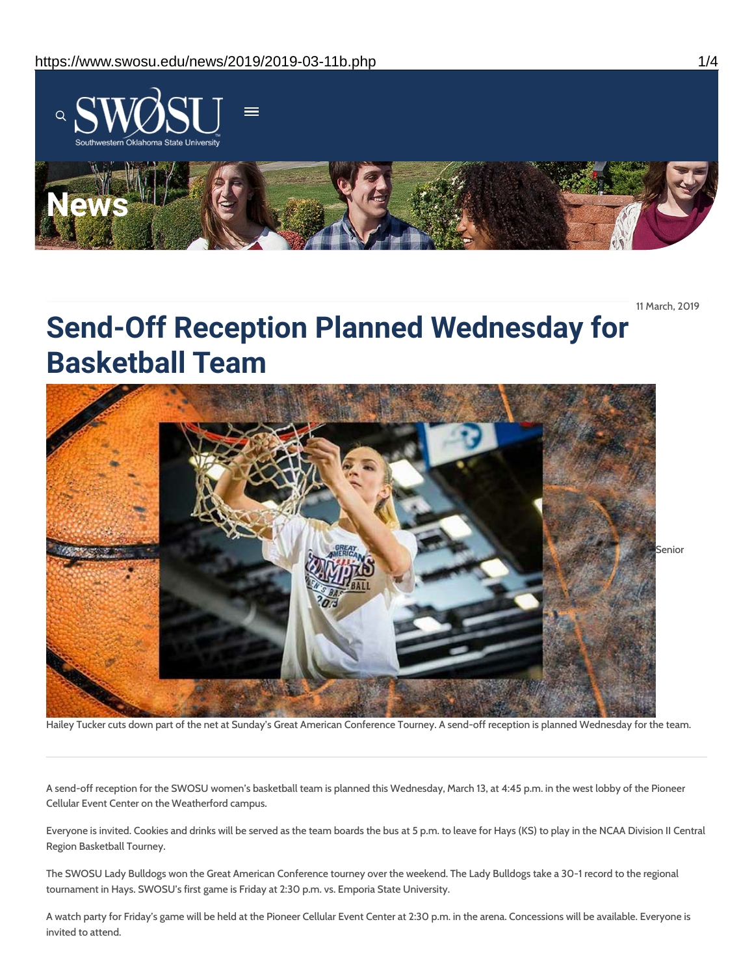

11 March, 2019

# **Send-Off Reception Planned Wednesday for Basketball Team**



Hailey Tucker cuts down part of the net at Sunday's Great American Conference Tourney. A send-off reception is planned Wednesday for the team.

A send-off reception for the SWOSU women's basketball team is planned this Wednesday, March 13, at 4:45 p.m. in the west lobby of the Pioneer Cellular Event Center on the Weatherford campus.

Everyone is invited. Cookies and drinks will be served as the team boards the bus at 5 p.m. to leave for Hays (KS) to play in the NCAA Division II Central Region Basketball Tourney.

The SWOSU Lady Bulldogs won the Great American Conference tourney over the weekend. The Lady Bulldogs take a 30-1 record to the regional tournament in Hays. SWOSU's first game is Friday at 2:30 p.m. vs. Emporia State University.

A watch party for Friday's game will be held at the Pioneer Cellular Event Center at 2:30 p.m. in the arena. Concessions will be available. Everyone is invited to attend.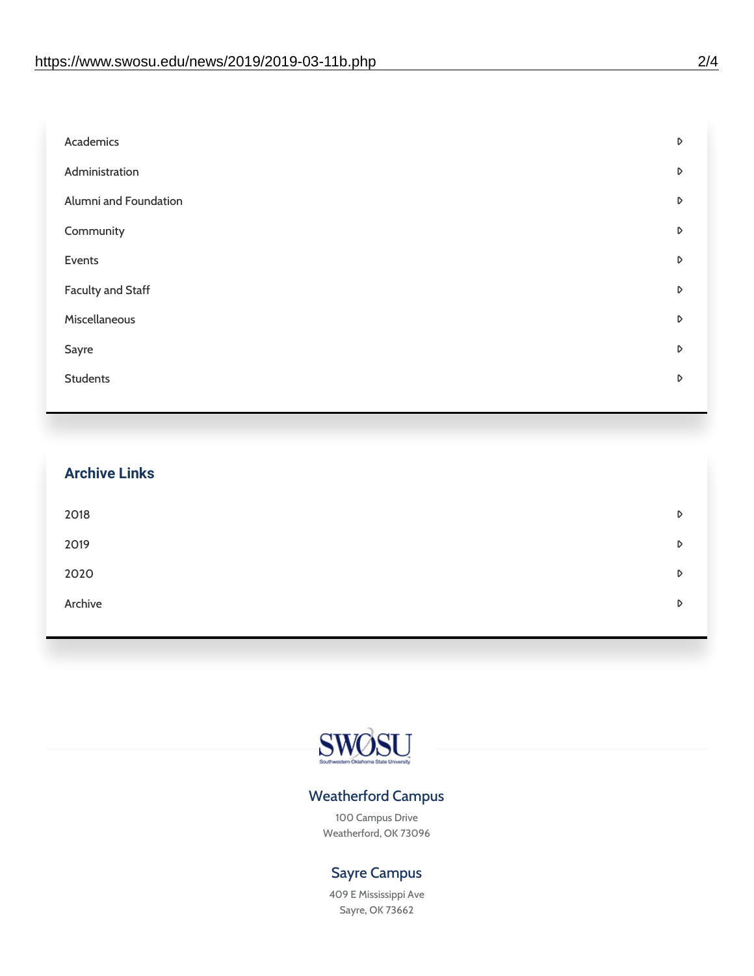| Academics                | D |
|--------------------------|---|
| Administration           | D |
| Alumni and Foundation    | D |
| Community                | D |
| Events                   | D |
| <b>Faculty and Staff</b> | D |
| Miscellaneous            | D |
| Sayre                    | D |
| <b>Students</b>          | D |
|                          |   |

| <b>Archive Links</b> |   |
|----------------------|---|
| 2018                 | D |
| 2019                 | D |
| 2020                 | D |
| Archive              | D |
|                      |   |



### Weatherford Campus

100 Campus Drive Weatherford, OK 73096

### Sayre Campus

409 E Mississippi Ave Sayre, OK 73662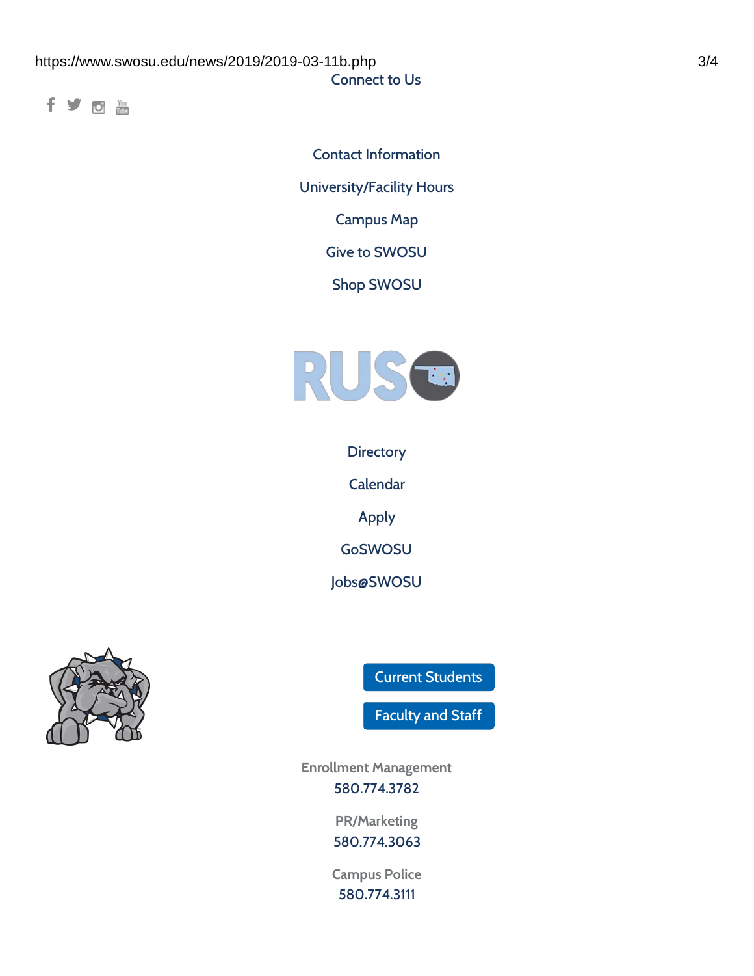Connect to Us

fyom

Contact [Information](https://www.swosu.edu/about/contact.php) [University/Facility](https://www.swosu.edu/about/operating-hours.php) Hours [Campus](https://map.concept3d.com/?id=768#!ct/10964,10214,10213,10212,10205,10204,10203,10202,10136,10129,10128,0,31226,10130,10201,10641,0) Map Give to [SWOSU](https://standingfirmly.com/donate) Shop [SWOSU](https://shopswosu.merchorders.com/)



**[Directory](https://www.swosu.edu/directory/index.php)** 

[Calendar](https://eventpublisher.dudesolutions.com/swosu/)

[Apply](https://www.swosu.edu/admissions/apply-to-swosu.php)

[GoSWOSU](https://qlsso.quicklaunchsso.com/home/1267)

[Jobs@SWOSU](https://swosu.csod.com/ux/ats/careersite/1/home?c=swosu)



Current [Students](https://bulldog.swosu.edu/index.php)

[Faculty](https://bulldog.swosu.edu/faculty-staff/index.php) and Staff

**Enrollment Management** [580.774.3782](tel:5807743782)

> **PR/Marketing** [580.774.3063](tel:5807743063)

**Campus Police** [580.774.3111](tel:5807743111)